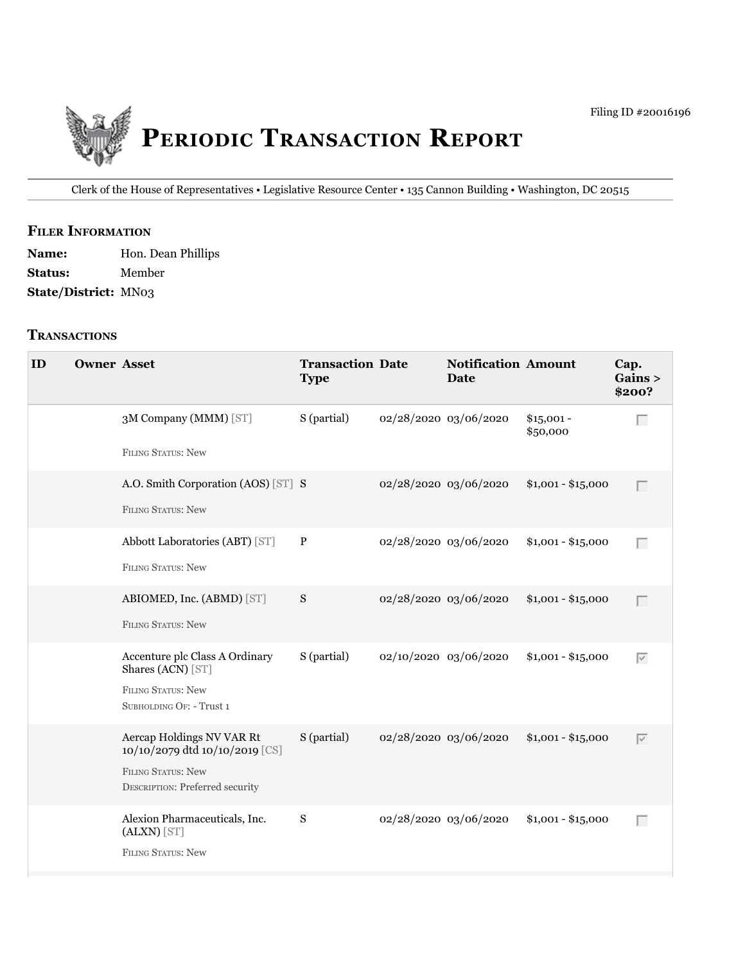

Clerk of the House of Representatives • legislative Resource Center • 135 Cannon Building • Washington, DC 20515

### **fIler INfOrmATION**

Name: Hon. Dean Phillips **Status:** Member **State/District:** MN03

### **TrANSACTIONS**

| ID | <b>Owner Asset</b> |                                                                                                                                    | <b>Transaction Date</b><br><b>Type</b> |                       | <b>Notification Amount</b><br><b>Date</b> |                         | Cap.<br>Gains ><br>\$200? |
|----|--------------------|------------------------------------------------------------------------------------------------------------------------------------|----------------------------------------|-----------------------|-------------------------------------------|-------------------------|---------------------------|
|    |                    | 3M Company (MMM) [ST]                                                                                                              | S (partial)                            | 02/28/2020 03/06/2020 |                                           | $$15,001 -$<br>\$50,000 | Г                         |
|    |                    | <b>FILING STATUS: New</b>                                                                                                          |                                        |                       |                                           |                         |                           |
|    |                    | A.O. Smith Corporation (AOS) [ST] S<br><b>FILING STATUS: New</b>                                                                   |                                        | 02/28/2020 03/06/2020 |                                           | $$1,001 - $15,000$      | Г                         |
|    |                    | Abbott Laboratories (ABT) [ST]<br><b>FILING STATUS: New</b>                                                                        | $\, {\bf P}$                           | 02/28/2020 03/06/2020 |                                           | $$1,001 - $15,000$      | Г                         |
|    |                    | ABIOMED, Inc. (ABMD) [ST]<br><b>FILING STATUS: New</b>                                                                             | S                                      | 02/28/2020 03/06/2020 |                                           | $$1,001 - $15,000$      | Г                         |
|    |                    | Accenture plc Class A Ordinary<br>Shares (ACN) [ST]<br><b>FILING STATUS: New</b><br>SUBHOLDING OF: - Trust 1                       | S (partial)                            | 02/10/2020 03/06/2020 |                                           | $$1,001 - $15,000$      | $\overline{\vee}$         |
|    |                    | Aercap Holdings NV VAR Rt<br>10/10/2079 dtd 10/10/2019 [CS]<br><b>FILING STATUS: New</b><br><b>DESCRIPTION: Preferred security</b> | S (partial)                            | 02/28/2020 03/06/2020 |                                           | $$1,001 - $15,000$      | $\overline{\vee}$         |
|    |                    | Alexion Pharmaceuticals, Inc.<br>(ALXN) [ST]<br><b>FILING STATUS: New</b>                                                          | S                                      | 02/28/2020 03/06/2020 |                                           | $$1,001 - $15,000$      | Г                         |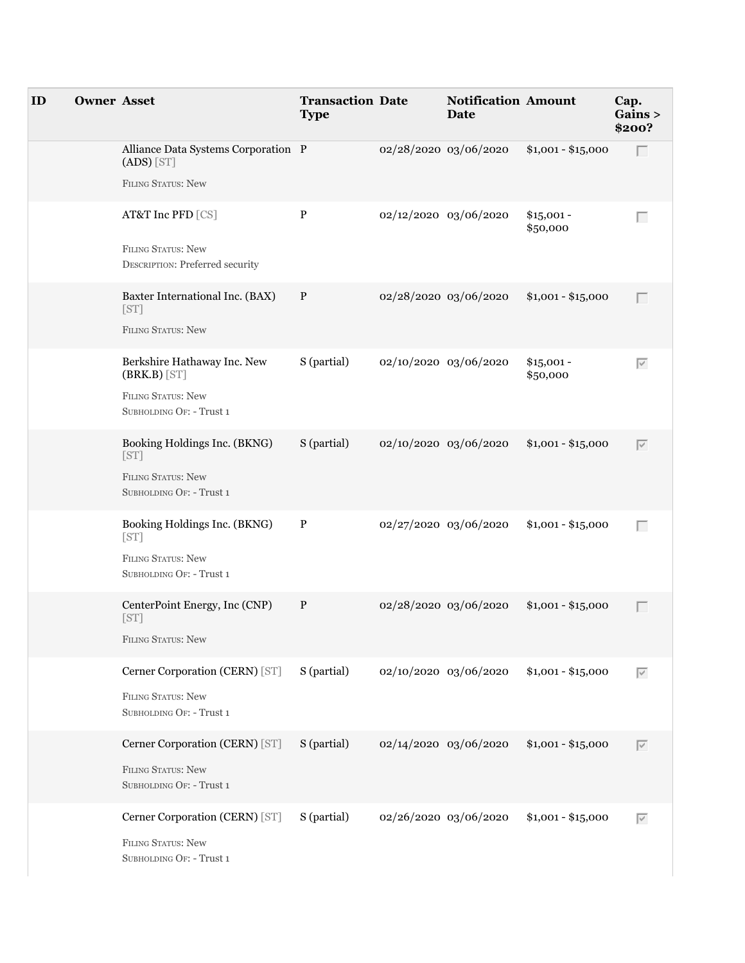| ID | <b>Owner Asset</b> |                                                                     | <b>Transaction Date</b><br><b>Type</b> |                       | <b>Notification Amount</b><br>Date |                         | Cap.<br>Gains ><br>\$200? |
|----|--------------------|---------------------------------------------------------------------|----------------------------------------|-----------------------|------------------------------------|-------------------------|---------------------------|
|    |                    | Alliance Data Systems Corporation P<br>$(ADS)$ $[ST]$               |                                        | 02/28/2020 03/06/2020 |                                    | $$1,001 - $15,000$      | Г                         |
|    |                    | FILING STATUS: New                                                  |                                        |                       |                                    |                         |                           |
|    |                    | AT&T Inc PFD [CS]                                                   | $\, {\bf P}$                           | 02/12/2020 03/06/2020 |                                    | $$15,001 -$<br>\$50,000 | Г                         |
|    |                    | <b>FILING STATUS: New</b><br><b>DESCRIPTION: Preferred security</b> |                                        |                       |                                    |                         |                           |
|    |                    | Baxter International Inc. (BAX)<br>[ST]                             | $\mathbf{P}$                           | 02/28/2020 03/06/2020 |                                    | $$1,001 - $15,000$      | Г                         |
|    |                    | FILING STATUS: New                                                  |                                        |                       |                                    |                         |                           |
|    |                    | Berkshire Hathaway Inc. New<br>$(BRK.B)$ [ST]                       | S (partial)                            | 02/10/2020 03/06/2020 |                                    | $$15,001 -$<br>\$50,000 | $\overline{\vee}$         |
|    |                    | <b>FILING STATUS: New</b><br>SUBHOLDING OF: - Trust 1               |                                        |                       |                                    |                         |                           |
|    |                    | Booking Holdings Inc. (BKNG)<br>[ST]                                | S (partial)                            | 02/10/2020 03/06/2020 |                                    | $$1,001 - $15,000$      | $\overline{\vee}$         |
|    |                    | <b>FILING STATUS: New</b><br>SUBHOLDING OF: - Trust 1               |                                        |                       |                                    |                         |                           |
|    |                    | Booking Holdings Inc. (BKNG)<br>[ST]                                | P                                      | 02/27/2020 03/06/2020 |                                    | $$1,001 - $15,000$      | Г                         |
|    |                    | <b>FILING STATUS: New</b><br>SUBHOLDING OF: - Trust 1               |                                        |                       |                                    |                         |                           |
|    |                    | CenterPoint Energy, Inc (CNP)<br>[ST]                               | $\mathbf{P}$                           | 02/28/2020 03/06/2020 |                                    | $$1,001 - $15,000$      | Г                         |
|    |                    | <b>FILING STATUS: New</b>                                           |                                        |                       |                                    |                         |                           |
|    |                    | Cerner Corporation (CERN) [ST]                                      | S (partial)                            | 02/10/2020 03/06/2020 |                                    | $$1,001 - $15,000$      | $\overline{\vee}$         |
|    |                    | FILING STATUS: New<br>SUBHOLDING OF: - Trust 1                      |                                        |                       |                                    |                         |                           |
|    |                    | Cerner Corporation (CERN) [ST]                                      | S (partial)                            | 02/14/2020 03/06/2020 |                                    | $$1,001 - $15,000$      | $\overline{\vee}$         |
|    |                    | FILING STATUS: New<br>SUBHOLDING OF: - Trust 1                      |                                        |                       |                                    |                         |                           |
|    |                    | Cerner Corporation (CERN) [ST]                                      | S (partial)                            | 02/26/2020 03/06/2020 |                                    | $$1,001 - $15,000$      | $\overline{\vee}$         |
|    |                    | <b>FILING STATUS: New</b><br>SUBHOLDING OF: - Trust 1               |                                        |                       |                                    |                         |                           |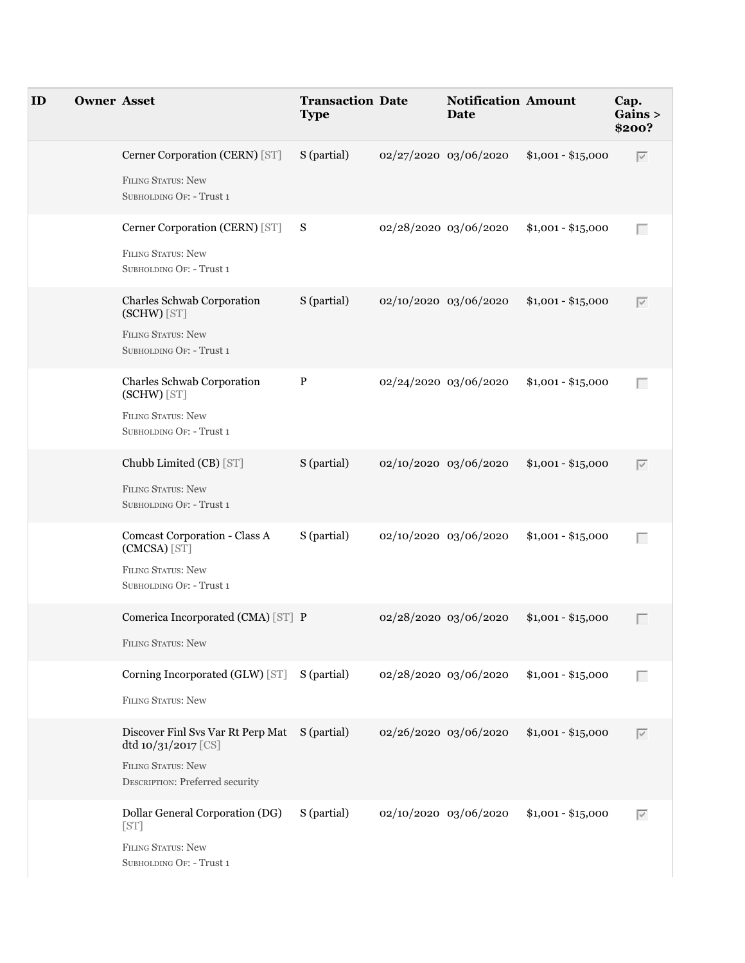| ID | <b>Owner Asset</b> |                                                                                                                                      | <b>Transaction Date</b><br><b>Type</b> | <b>Notification Amount</b><br>Date |                    | Cap.<br>Gains ><br>\$200? |
|----|--------------------|--------------------------------------------------------------------------------------------------------------------------------------|----------------------------------------|------------------------------------|--------------------|---------------------------|
|    |                    | Cerner Corporation (CERN) [ST]<br>FILING STATUS: New<br>SUBHOLDING OF: - Trust 1                                                     | S (partial)                            | 02/27/2020 03/06/2020              | $$1,001 - $15,000$ | $\overline{\vee}$         |
|    |                    | Cerner Corporation (CERN) [ST] S<br><b>FILING STATUS: New</b><br>SUBHOLDING OF: - Trust 1                                            |                                        | 02/28/2020 03/06/2020              | $$1,001 - $15,000$ | Г                         |
|    |                    | Charles Schwab Corporation<br>(SCHW) [ST]<br><b>FILING STATUS: New</b><br>SUBHOLDING OF: - Trust 1                                   | S (partial)                            | 02/10/2020 03/06/2020              | $$1,001 - $15,000$ | $\overline{\vee}$         |
|    |                    | Charles Schwab Corporation<br>(SCHW) [ST]<br><b>FILING STATUS: New</b><br>SUBHOLDING OF: - Trust 1                                   | $\mathbf{P}$                           | 02/24/2020 03/06/2020              | $$1,001 - $15,000$ | Г                         |
|    |                    | Chubb Limited (CB) [ST]<br><b>FILING STATUS: New</b><br>SUBHOLDING OF: - Trust 1                                                     | S (partial)                            | 02/10/2020 03/06/2020              | $$1,001 - $15,000$ | $\overline{\vee}$         |
|    |                    | Comcast Corporation - Class A<br>(CMCSA) [ST]<br><b>FILING STATUS: New</b><br>SUBHOLDING OF: - Trust 1                               | S (partial)                            | 02/10/2020 03/06/2020              | $$1,001 - $15,000$ | Г                         |
|    |                    | Comerica Incorporated (CMA) [ST] P<br>FILING STATUS: New                                                                             |                                        | 02/28/2020 03/06/2020              | $$1,001 - $15,000$ | $\Box$                    |
|    |                    | Corning Incorporated (GLW) [ST]<br><b>FILING STATUS: New</b>                                                                         | S (partial)                            | 02/28/2020 03/06/2020              | $$1,001 - $15,000$ | Г                         |
|    |                    | Discover Finl Svs Var Rt Perp Mat S (partial)<br>dtd 10/31/2017 [CS]<br><b>FILING STATUS: New</b><br>DESCRIPTION: Preferred security |                                        | 02/26/2020 03/06/2020              | $$1,001 - $15,000$ | $\overline{\vee}$         |
|    |                    | Dollar General Corporation (DG)<br>[ST]<br><b>FILING STATUS: New</b><br>SUBHOLDING OF: - Trust 1                                     | S (partial)                            | 02/10/2020 03/06/2020              | $$1,001 - $15,000$ | $\overline{\vee}$         |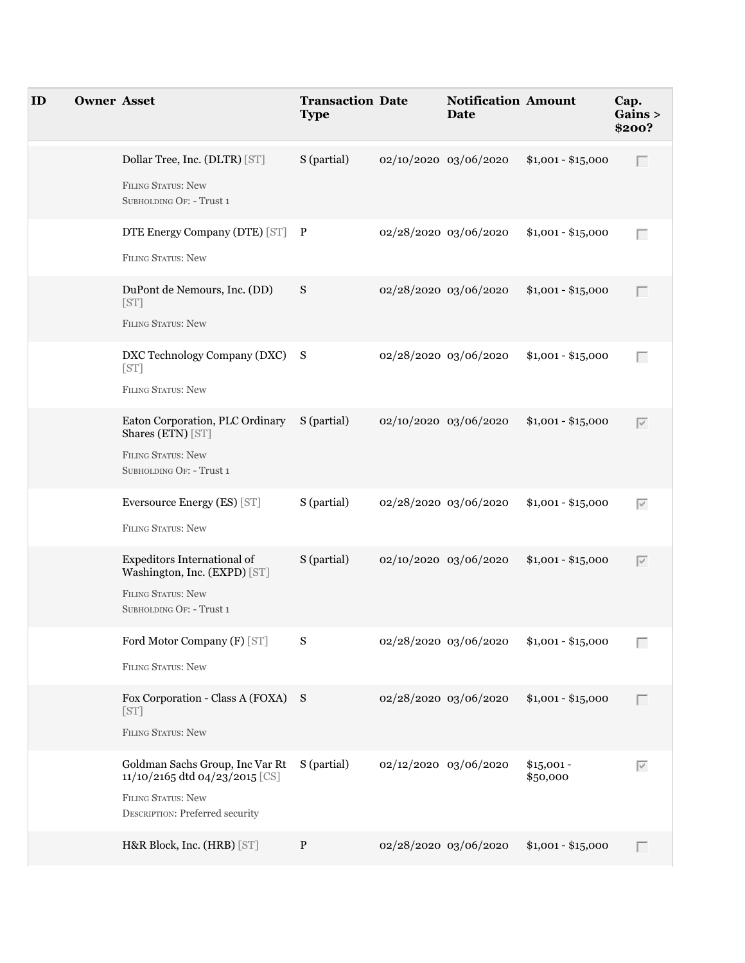| ID | <b>Owner Asset</b> |                                                                                                                                          | <b>Transaction Date</b><br><b>Type</b> |                       | <b>Notification Amount</b><br><b>Date</b> |                         | Cap.<br>Gains ><br>\$200? |
|----|--------------------|------------------------------------------------------------------------------------------------------------------------------------------|----------------------------------------|-----------------------|-------------------------------------------|-------------------------|---------------------------|
|    |                    | Dollar Tree, Inc. (DLTR) [ST]<br>FILING STATUS: New<br>SUBHOLDING OF: - Trust 1                                                          | S (partial)                            |                       | 02/10/2020 03/06/2020                     | $$1,001 - $15,000$      | Г                         |
|    |                    | DTE Energy Company (DTE) [ST] P<br>FILING STATUS: New                                                                                    |                                        | 02/28/2020 03/06/2020 |                                           | $$1,001 - $15,000$      | Г                         |
|    |                    | DuPont de Nemours, Inc. (DD)<br>[ST]<br>FILING STATUS: New                                                                               | S                                      | 02/28/2020 03/06/2020 |                                           | $$1,001 - $15,000$      | Г                         |
|    |                    | DXC Technology Company (DXC) S<br>[ST]<br><b>FILING STATUS: New</b>                                                                      |                                        | 02/28/2020 03/06/2020 |                                           | $$1,001 - $15,000$      | Г                         |
|    |                    | Eaton Corporation, PLC Ordinary<br>Shares (ETN) [ST]<br>FILING STATUS: New<br>SUBHOLDING OF: - Trust 1                                   | S (partial)                            | 02/10/2020 03/06/2020 |                                           | $$1,001 - $15,000$      | $\overline{\vee}$         |
|    |                    | Eversource Energy (ES) [ST]<br><b>FILING STATUS: New</b>                                                                                 | S (partial)                            | 02/28/2020 03/06/2020 |                                           | $$1,001 - $15,000$      | $\overline{\vee}$         |
|    |                    | Expeditors International of<br>Washington, Inc. (EXPD) [ST]<br><b>FILING STATUS: New</b><br>SUBHOLDING OF: - Trust 1                     | S (partial)                            | 02/10/2020 03/06/2020 |                                           | $$1,001 - $15,000$      | $\overline{\vee}$         |
|    |                    | Ford Motor Company (F) [ST]<br><b>FILING STATUS: New</b>                                                                                 | S                                      |                       | 02/28/2020 03/06/2020                     | $$1,001 - $15,000$      | Г                         |
|    |                    | Fox Corporation - Class A (FOXA) S<br>[ST]<br>FILING STATUS: New                                                                         |                                        | 02/28/2020 03/06/2020 |                                           | $$1,001 - $15,000$      | Г                         |
|    |                    | Goldman Sachs Group, Inc Var Rt<br>11/10/2165 dtd 04/23/2015 [CS]<br><b>FILING STATUS: New</b><br><b>DESCRIPTION: Preferred security</b> | S (partial)                            | 02/12/2020 03/06/2020 |                                           | $$15,001 -$<br>\$50,000 | $\overline{\vee}$         |
|    |                    | H&R Block, Inc. (HRB) [ST]                                                                                                               | $\mathbf{P}$                           |                       | 02/28/2020 03/06/2020                     | $$1,001 - $15,000$      | Г                         |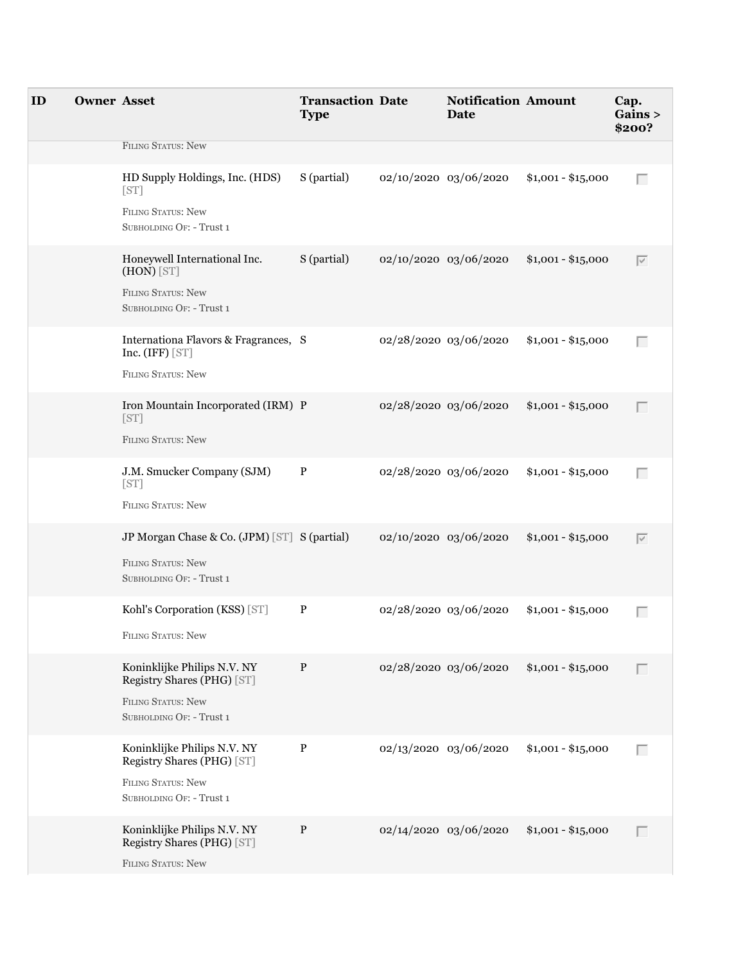| ID | <b>Owner Asset</b> |                                                                                 | <b>Transaction Date</b><br><b>Type</b> | <b>Notification Amount</b><br><b>Date</b> |                    | Cap.<br>G <b>ains</b><br>\$200? |
|----|--------------------|---------------------------------------------------------------------------------|----------------------------------------|-------------------------------------------|--------------------|---------------------------------|
|    |                    | FILING STATUS: New                                                              |                                        |                                           |                    |                                 |
|    |                    | HD Supply Holdings, Inc. (HDS)<br>[ST]                                          | S (partial)                            | 02/10/2020 03/06/2020                     | $$1,001 - $15,000$ | Г                               |
|    |                    | <b>FILING STATUS: New</b><br>SUBHOLDING OF: - Trust 1                           |                                        |                                           |                    |                                 |
|    |                    | Honeywell International Inc.<br>(HON) [ST]                                      | S (partial)                            | 02/10/2020 03/06/2020                     | $$1,001 - $15,000$ | $\overline{\vee}$               |
|    |                    | FILING STATUS: New<br>SUBHOLDING OF: - Trust 1                                  |                                        |                                           |                    |                                 |
|    |                    | Internationa Flavors & Fragrances, S<br>Inc. $(IFF)$ [ST]                       |                                        | 02/28/2020 03/06/2020                     | $$1,001 - $15,000$ | Г                               |
|    |                    | FILING STATUS: New                                                              |                                        |                                           |                    |                                 |
|    |                    | Iron Mountain Incorporated (IRM) P<br>[ST]<br>FILING STATUS: New                |                                        | 02/28/2020 03/06/2020                     | $$1,001 - $15,000$ |                                 |
|    |                    | J.M. Smucker Company (SJM)<br>[ST]<br>FILING STATUS: New                        | P                                      | 02/28/2020 03/06/2020                     | $$1,001 - $15,000$ | Г                               |
|    |                    | JP Morgan Chase & Co. (JPM) [ST] S (partial)                                    |                                        | 02/10/2020 03/06/2020                     | $$1,001 - $15,000$ | $\overline{\vee}$               |
|    |                    | FILING STATUS: New<br>SUBHOLDING OF: - Trust 1                                  |                                        |                                           |                    |                                 |
|    |                    | Kohl's Corporation (KSS) [ST]                                                   | P                                      | 02/28/2020 03/06/2020                     | $$1,001 - $15,000$ | Г                               |
|    |                    | <b>FILING STATUS: New</b>                                                       |                                        |                                           |                    |                                 |
|    |                    | Koninklijke Philips N.V. NY<br>Registry Shares (PHG) [ST]                       | $\mathbf{P}$                           | 02/28/2020 03/06/2020                     | $$1,001 - $15,000$ |                                 |
|    |                    | FILING STATUS: New<br>SUBHOLDING OF: - Trust 1                                  |                                        |                                           |                    |                                 |
|    |                    | Koninklijke Philips N.V. NY<br>Registry Shares (PHG) [ST]                       | $\mathbf{P}$                           | 02/13/2020 03/06/2020                     | $$1,001 - $15,000$ | Г                               |
|    |                    | FILING STATUS: New<br>SUBHOLDING OF: - Trust 1                                  |                                        |                                           |                    |                                 |
|    |                    | Koninklijke Philips N.V. NY<br>Registry Shares (PHG) [ST]<br>FILING STATUS: New | $\mathbf{P}$                           | 02/14/2020 03/06/2020                     | $$1,001 - $15,000$ | П                               |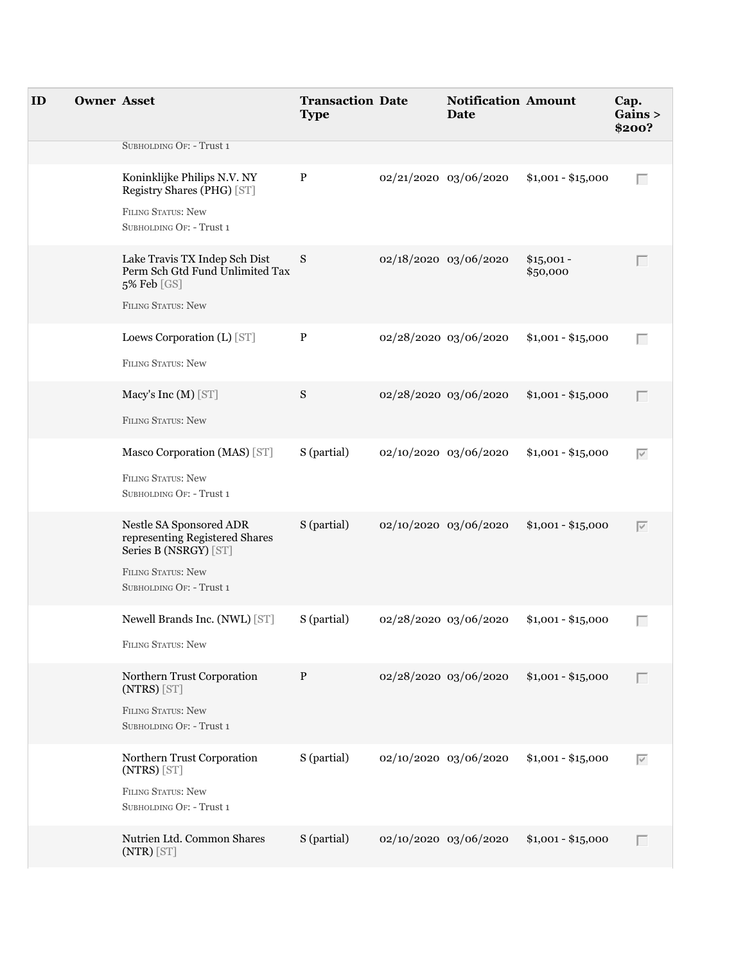| ID | <b>Owner Asset</b> |                                                                                                                                             | <b>Transaction Date</b><br><b>Type</b> | <b>Notification Amount</b><br><b>Date</b> |                         | Cap.<br>Gains ><br>\$200? |
|----|--------------------|---------------------------------------------------------------------------------------------------------------------------------------------|----------------------------------------|-------------------------------------------|-------------------------|---------------------------|
|    |                    | SUBHOLDING OF: - Trust 1                                                                                                                    |                                        |                                           |                         |                           |
|    |                    | Koninklijke Philips N.V. NY<br>Registry Shares (PHG) [ST]                                                                                   | $\, {\bf P}$                           | 02/21/2020 03/06/2020                     | $$1,001 - $15,000$      | Г                         |
|    |                    | FILING STATUS: New<br>SUBHOLDING OF: - Trust 1                                                                                              |                                        |                                           |                         |                           |
|    |                    | Lake Travis TX Indep Sch Dist<br>Perm Sch Gtd Fund Unlimited Tax<br>5% Feb [GS]<br><b>FILING STATUS: New</b>                                | S                                      | 02/18/2020 03/06/2020                     | $$15,001 -$<br>\$50,000 | Г                         |
|    |                    | Loews Corporation (L) [ST]                                                                                                                  | $\mathbf{P}$                           | 02/28/2020 03/06/2020                     | $$1,001 - $15,000$      | Г                         |
|    |                    | FILING STATUS: New                                                                                                                          |                                        |                                           |                         |                           |
|    |                    | Macy's Inc (M) [ST]                                                                                                                         | S                                      | 02/28/2020 03/06/2020                     | $$1,001 - $15,000$      | Г                         |
|    |                    | FILING STATUS: New                                                                                                                          |                                        |                                           |                         |                           |
|    |                    | Masco Corporation (MAS) [ST]                                                                                                                | S (partial)                            | 02/10/2020 03/06/2020                     | $$1,001 - $15,000$      | $\overline{\vee}$         |
|    |                    | <b>FILING STATUS: New</b><br>SUBHOLDING OF: - Trust 1                                                                                       |                                        |                                           |                         |                           |
|    |                    | Nestle SA Sponsored ADR<br>representing Registered Shares<br>Series B (NSRGY) [ST]<br><b>FILING STATUS: New</b><br>SUBHOLDING OF: - Trust 1 | S (partial)                            | 02/10/2020 03/06/2020                     | $$1,001 - $15,000$      | $\overline{\vee}$         |
|    |                    |                                                                                                                                             |                                        |                                           |                         |                           |
|    |                    | Newell Brands Inc. (NWL) [ST]<br><b>FILING STATUS: New</b>                                                                                  | S (partial)                            | 02/28/2020 03/06/2020                     | $$1,001 - $15,000$      | Г                         |
|    |                    | Northern Trust Corporation<br>$(NTRS)$ $[ST]$<br><b>FILING STATUS: New</b>                                                                  | P                                      | 02/28/2020 03/06/2020                     | $$1,001 - $15,000$      | $\Box$                    |
|    |                    | SUBHOLDING OF: - Trust 1                                                                                                                    |                                        |                                           |                         |                           |
|    |                    | Northern Trust Corporation<br>$(NTRS)$ $[ST]$<br>FILING STATUS: New<br>SUBHOLDING OF: - Trust 1                                             | S (partial)                            | 02/10/2020 03/06/2020                     | $$1,001 - $15,000$      | $\overline{\vee}$         |
|    |                    | Nutrien Ltd. Common Shares<br>$(NTR)$ [ST]                                                                                                  | S (partial)                            | 02/10/2020 03/06/2020                     | $$1,001 - $15,000$      | Г                         |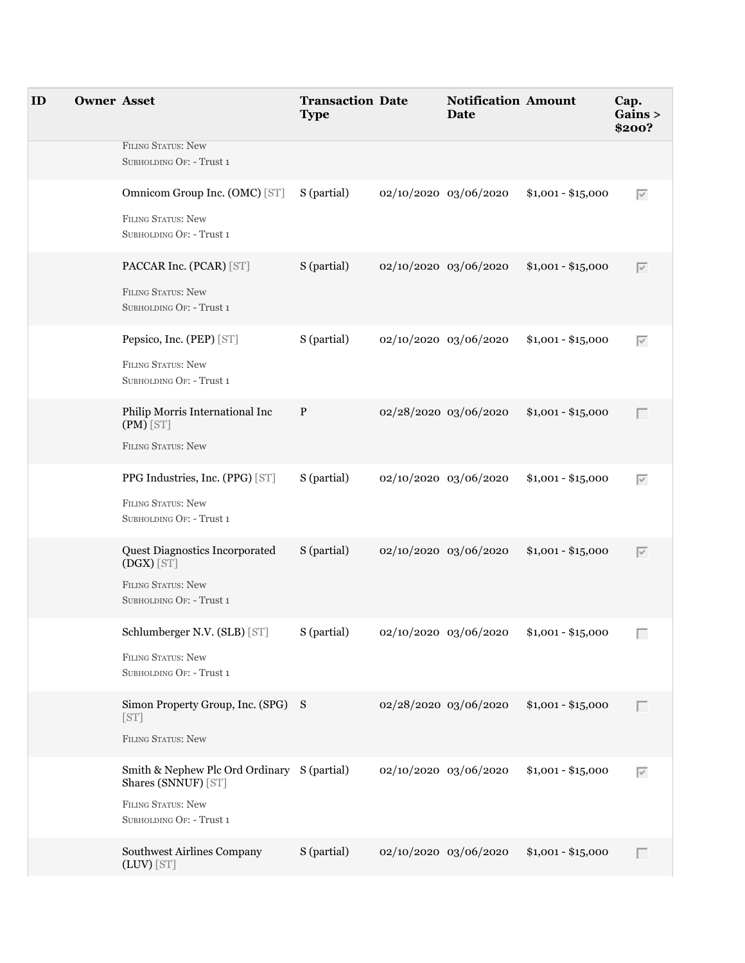| ID | <b>Owner Asset</b> |                                                                    | <b>Transaction Date</b><br><b>Type</b> | <b>Notification Amount</b><br>Date |                    | Cap.<br>Gains ><br>\$200? |
|----|--------------------|--------------------------------------------------------------------|----------------------------------------|------------------------------------|--------------------|---------------------------|
|    |                    | FILING STATUS: New<br>SUBHOLDING OF: - Trust 1                     |                                        |                                    |                    |                           |
|    |                    | Omnicom Group Inc. (OMC) [ST]                                      | S (partial)                            | 02/10/2020 03/06/2020              | $$1,001 - $15,000$ | $\overline{\vee}$         |
|    |                    | FILING STATUS: New<br>SUBHOLDING OF: - Trust 1                     |                                        |                                    |                    |                           |
|    |                    | PACCAR Inc. (PCAR) [ST]                                            | S (partial)                            | 02/10/2020 03/06/2020              | $$1,001 - $15,000$ | $\overline{\vee}$         |
|    |                    | <b>FILING STATUS: New</b><br>SUBHOLDING OF: - Trust 1              |                                        |                                    |                    |                           |
|    |                    | Pepsico, Inc. (PEP) [ST]                                           | S (partial)                            | 02/10/2020 03/06/2020              | $$1,001 - $15,000$ | $\overline{\vee}$         |
|    |                    | FILING STATUS: New<br>SUBHOLDING OF: - Trust 1                     |                                        |                                    |                    |                           |
|    |                    | Philip Morris International Inc<br>$(PM)$ [ST]                     | $\mathbf{P}$                           | 02/28/2020 03/06/2020              | $$1,001 - $15,000$ | $\Box$                    |
|    |                    | <b>FILING STATUS: New</b>                                          |                                        |                                    |                    |                           |
|    |                    | PPG Industries, Inc. (PPG) [ST]                                    | S (partial)                            | 02/10/2020 03/06/2020              | $$1,001 - $15,000$ | $\overline{\vee}$         |
|    |                    | <b>FILING STATUS: New</b><br>SUBHOLDING OF: - Trust 1              |                                        |                                    |                    |                           |
|    |                    | Quest Diagnostics Incorporated<br>$(DGX)$ [ST]                     | S (partial)                            | 02/10/2020 03/06/2020              | $$1,001 - $15,000$ | $\overline{\vee}$         |
|    |                    | FILING STATUS: New<br>SUBHOLDING OF: - Trust 1                     |                                        |                                    |                    |                           |
|    |                    | Schlumberger N.V. (SLB) [ST]                                       | S (partial)                            | 02/10/2020 03/06/2020              | $$1,001 - $15,000$ |                           |
|    |                    | <b>FILING STATUS: New</b><br>SUBHOLDING OF: - Trust 1              |                                        |                                    |                    |                           |
|    |                    | Simon Property Group, Inc. (SPG) S<br>[ST]                         |                                        | 02/28/2020 03/06/2020              | $$1,001 - $15,000$ | П                         |
|    |                    | <b>FILING STATUS: New</b>                                          |                                        |                                    |                    |                           |
|    |                    | Smith & Nephew Plc Ord Ordinary S (partial)<br>Shares (SNNUF) [ST] |                                        | 02/10/2020 03/06/2020              | $$1,001 - $15,000$ | $\overline{\vee}$         |
|    |                    | <b>FILING STATUS: New</b><br>SUBHOLDING OF: - Trust 1              |                                        |                                    |                    |                           |
|    |                    | Southwest Airlines Company<br>(LUV) [ST]                           | S (partial)                            | 02/10/2020 03/06/2020              | $$1,001 - $15,000$ | П                         |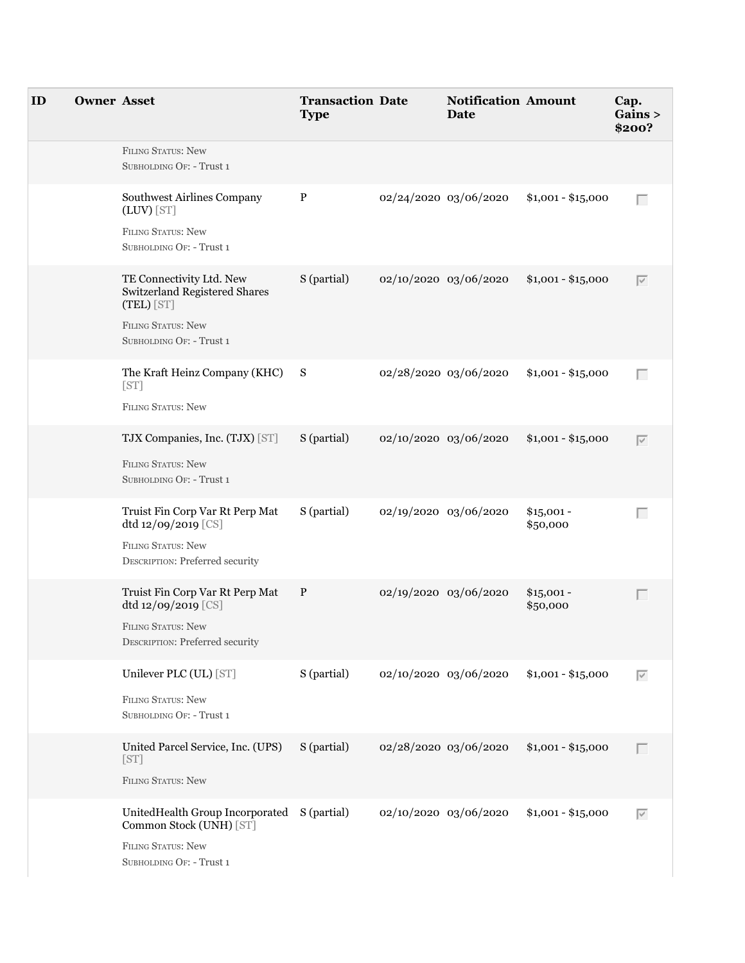| ID | <b>Owner Asset</b> |                                                                                                                                  | <b>Transaction Date</b><br><b>Type</b> |                       | <b>Notification Amount</b><br><b>Date</b> |                         | Cap.<br>Gains ><br>\$200? |
|----|--------------------|----------------------------------------------------------------------------------------------------------------------------------|----------------------------------------|-----------------------|-------------------------------------------|-------------------------|---------------------------|
|    |                    | <b>FILING STATUS: New</b><br>SUBHOLDING OF: - Trust 1                                                                            |                                        |                       |                                           |                         |                           |
|    |                    | Southwest Airlines Company<br>$(LUV)$ [ST]<br><b>FILING STATUS: New</b><br>SUBHOLDING OF: - Trust 1                              | $\mathbf{P}$                           | 02/24/2020 03/06/2020 |                                           | $$1,001 - $15,000$      | Г                         |
|    |                    | TE Connectivity Ltd. New<br>Switzerland Registered Shares<br>(TEL) [ST]<br><b>FILING STATUS: New</b><br>SUBHOLDING OF: - Trust 1 | S (partial)                            |                       | 02/10/2020 03/06/2020                     | $$1,001 - $15,000$      | $\overline{\vee}$         |
|    |                    | The Kraft Heinz Company (KHC) S<br>[ST]<br>FILING STATUS: New                                                                    |                                        | 02/28/2020 03/06/2020 |                                           | $$1,001 - $15,000$      | Г                         |
|    |                    | TJX Companies, Inc. (TJX) [ST]<br><b>FILING STATUS: New</b><br>SUBHOLDING OF: - Trust 1                                          | S (partial)                            |                       | 02/10/2020 03/06/2020                     | $$1,001 - $15,000$      | $\overline{\vee}$         |
|    |                    | Truist Fin Corp Var Rt Perp Mat<br>dtd 12/09/2019 [CS]<br>FILING STATUS: New<br>DESCRIPTION: Preferred security                  | S (partial)                            | 02/19/2020 03/06/2020 |                                           | $$15,001 -$<br>\$50,000 | Г                         |
|    |                    | Truist Fin Corp Var Rt Perp Mat<br>dtd 12/09/2019 [CS]<br><b>FILING STATUS: New</b><br><b>DESCRIPTION: Preferred security</b>    | $\mathbf{P}$                           | 02/19/2020 03/06/2020 |                                           | $$15,001 -$<br>\$50,000 | Г                         |
|    |                    | Unilever PLC (UL) [ST]<br><b>FILING STATUS: New</b><br>SUBHOLDING OF: - Trust 1                                                  | S (partial)                            |                       | 02/10/2020 03/06/2020                     | $$1,001 - $15,000$      | $\overline{\vee}$         |
|    |                    | United Parcel Service, Inc. (UPS)<br>[ST]<br>FILING STATUS: New                                                                  | S (partial)                            |                       | 02/28/2020 03/06/2020                     | $$1,001 - $15,000$      | Г                         |
|    |                    | UnitedHealth Group Incorporated S (partial)<br>Common Stock (UNH) [ST]<br><b>FILING STATUS: New</b><br>SUBHOLDING OF: - Trust 1  |                                        |                       | 02/10/2020 03/06/2020                     | $$1,001 - $15,000$      | $\overline{\vee}$         |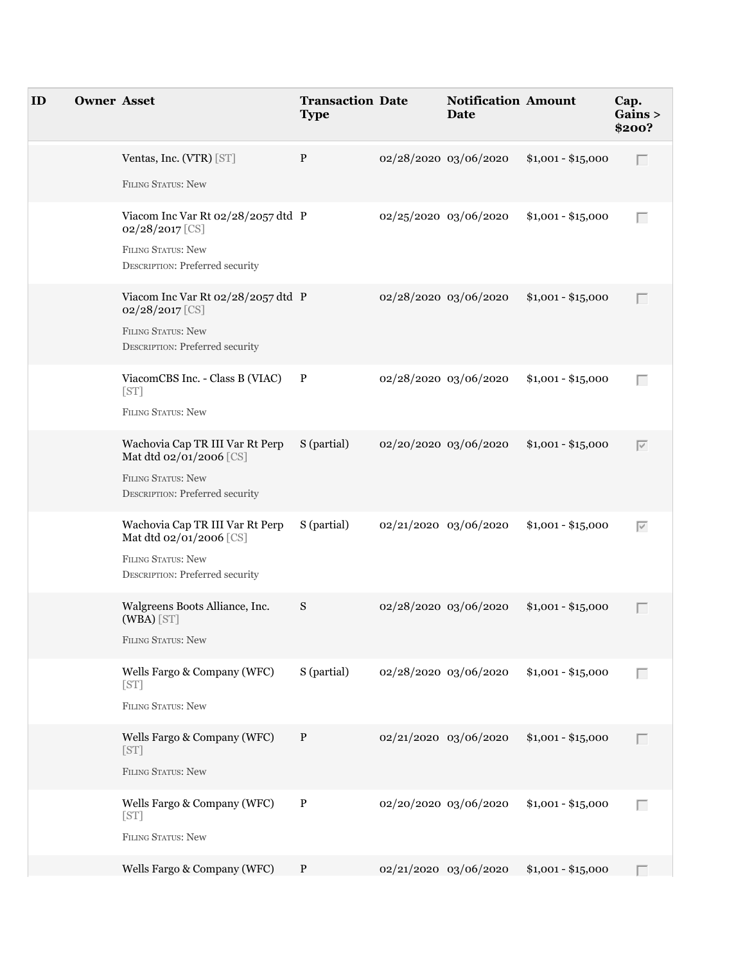| ID | <b>Owner Asset</b> |                                                                                                                            | <b>Transaction Date</b><br><b>Type</b> |                       | <b>Notification Amount</b><br>Date |                    | Cap.<br>Gains ><br>\$200? |
|----|--------------------|----------------------------------------------------------------------------------------------------------------------------|----------------------------------------|-----------------------|------------------------------------|--------------------|---------------------------|
|    |                    | Ventas, Inc. (VTR) [ST]<br>FILING STATUS: New                                                                              | P                                      | 02/28/2020 03/06/2020 |                                    | $$1,001 - $15,000$ | П                         |
|    |                    | Viacom Inc Var Rt 02/28/2057 dtd P<br>02/28/2017 [CS]<br><b>FILING STATUS: New</b><br>DESCRIPTION: Preferred security      |                                        | 02/25/2020 03/06/2020 |                                    | $$1,001 - $15,000$ | Г                         |
|    |                    | Viacom Inc Var Rt 02/28/2057 dtd P<br>02/28/2017 [CS]<br>FILING STATUS: New<br>DESCRIPTION: Preferred security             |                                        | 02/28/2020 03/06/2020 |                                    | $$1,001 - $15,000$ | Г                         |
|    |                    | ViacomCBS Inc. - Class B (VIAC)<br>[ST]<br><b>FILING STATUS: New</b>                                                       | $\mathbf{P}$                           | 02/28/2020 03/06/2020 |                                    | $$1,001 - $15,000$ | Г                         |
|    |                    | Wachovia Cap TR III Var Rt Perp<br>Mat dtd 02/01/2006 [CS]<br><b>FILING STATUS: New</b><br>DESCRIPTION: Preferred security | S (partial)                            | 02/20/2020 03/06/2020 |                                    | $$1,001 - $15,000$ | $\overline{\vee}$         |
|    |                    | Wachovia Cap TR III Var Rt Perp<br>Mat dtd 02/01/2006 [CS]<br><b>FILING STATUS: New</b><br>DESCRIPTION: Preferred security | S (partial)                            | 02/21/2020 03/06/2020 |                                    | $$1,001 - $15,000$ | $\overline{\vee}$         |
|    |                    | Walgreens Boots Alliance, Inc.<br>(WBA) [ST]<br>FILING STATUS: New                                                         | S                                      | 02/28/2020 03/06/2020 |                                    | $$1,001 - $15,000$ | Г                         |
|    |                    | Wells Fargo & Company (WFC)<br>[ST]<br>FILING STATUS: New                                                                  | S (partial)                            | 02/28/2020 03/06/2020 |                                    | $$1,001 - $15,000$ | Г                         |
|    |                    | Wells Fargo & Company (WFC)<br>[ST]<br>FILING STATUS: New                                                                  | $\mathbf{P}$                           | 02/21/2020 03/06/2020 |                                    | $$1,001 - $15,000$ | Г                         |
|    |                    | Wells Fargo & Company (WFC)<br>[ST]<br>FILING STATUS: New                                                                  | $\, {\bf P}$                           | 02/20/2020 03/06/2020 |                                    | $$1,001 - $15,000$ | Г                         |
|    |                    | Wells Fargo & Company (WFC)                                                                                                | $\mathbf{P}$                           | 02/21/2020 03/06/2020 |                                    | $$1,001 - $15,000$ |                           |